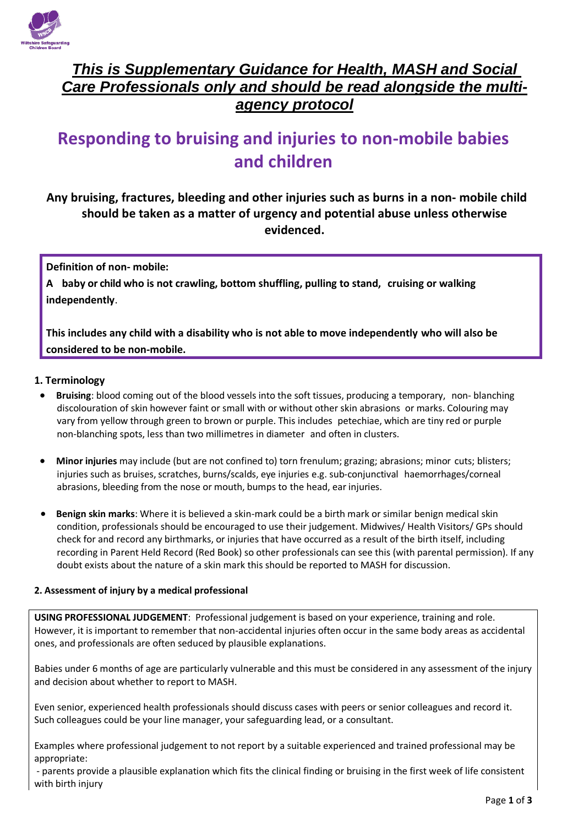

## *This is Supplementary Guidance for Health, MASH and Social Care Professionals only and should be read alongside the multiagency protocol*

# **Responding to bruising and injuries to non-mobile babies and children**

## **Any bruising, fractures, bleeding and other injuries such as burns in a non- mobile child should be taken as a matter of urgency and potential abuse unless otherwise evidenced.**

**Definition of non- mobile:**

**A baby or child who is not crawling, bottom shuffling, pulling to stand, cruising or walking independently**.

**This includes any child with a disability who is not able to move independently who will also be considered to be non-mobile.**

#### **1. Terminology**

- **Bruising**: blood coming out of the blood vessels into the soft tissues, producing a temporary, non- blanching discolouration of skin however faint or small with or without other skin abrasions or marks. Colouring may vary from yellow through green to brown or purple. This includes petechiae, which are tiny red or purple non-blanching spots, less than two millimetres in diameter and often in clusters.
- **Minor injuries** may include (but are not confined to) torn frenulum; grazing; abrasions; minor cuts; blisters; injuries such as bruises, scratches, burns/scalds, eye injuries e.g. sub-conjunctival haemorrhages/corneal abrasions, bleeding from the nose or mouth, bumps to the head, ear injuries.
- **Benign skin marks**: Where it is believed a skin-mark could be a birth mark or similar benign medical skin condition, professionals should be encouraged to use their judgement. Midwives/ Health Visitors/ GPs should check for and record any birthmarks, or injuries that have occurred as a result of the birth itself, including recording in Parent Held Record (Red Book) so other professionals can see this (with parental permission). If any doubt exists about the nature of a skin mark this should be reported to MASH for discussion.

#### **2. Assessment of injury by a medical professional**

**USING PROFESSIONAL JUDGEMENT**: Professional judgement is based on your experience, training and role. However, it is important to remember that non-accidental injuries often occur in the same body areas as accidental ones, and professionals are often seduced by plausible explanations.

Babies under 6 months of age are particularly vulnerable and this must be considered in any assessment of the injury and decision about whether to report to MASH.

Even senior, experienced health professionals should discuss cases with peers or senior colleagues and record it. Such colleagues could be your line manager, your safeguarding lead, or a consultant.

Examples where professional judgement to not report by a suitable experienced and trained professional may be appropriate:

- parents provide a plausible explanation which fits the clinical finding or bruising in the first week of life consistent with birth injury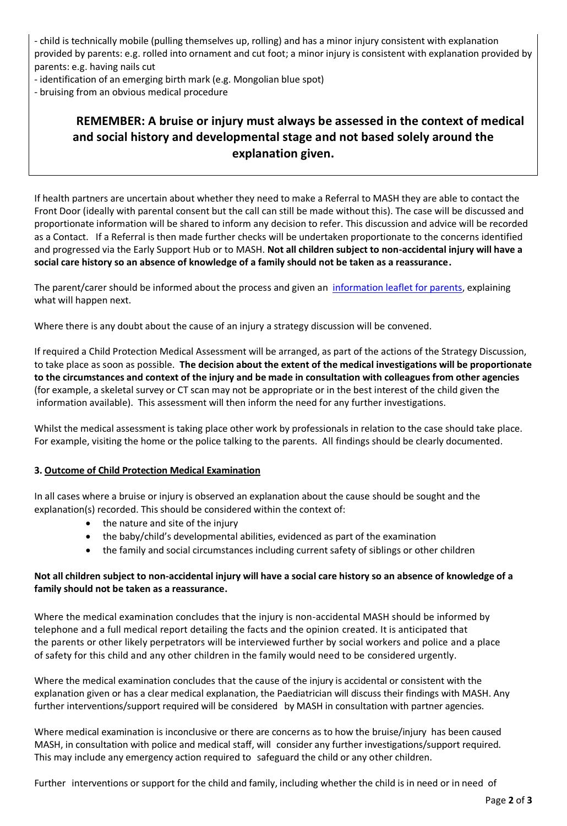- child is technically mobile (pulling themselves up, rolling) and has a minor injury consistent with explanation provided by parents: e.g. rolled into ornament and cut foot; a minor injury is consistent with explanation provided by parents: e.g. having nails cut

- identification of an emerging birth mark (e.g. Mongolian blue spot)
- bruising from an obvious medical procedure

## **REMEMBER: A bruise or injury must always be assessed in the context of medical and social history and developmental stage and not based solely around the explanation given.**

If health partners are uncertain about whether they need to make a Referral to MASH they are able to contact the Front Door (ideally with parental consent but the call can still be made without this). The case will be discussed and proportionate information will be shared to inform any decision to refer. This discussion and advice will be recorded as a Contact. If a Referral is then made further checks will be undertaken proportionate to the concerns identified and progressed via the Early Support Hub or to MASH. **Not all children subject to non-accidental injury will have a social care history so an absence of knowledge of a family should not be taken as a reassurance.**

The parent/carer should be informed about the process and given an [information leaflet for parents,](http://www.wiltshirescb.org.uk/wp-content/uploads/2019/02/Bruising-Protocol-Leaflet-for-parents.pdf) explaining what will happen next.

Where there is any doubt about the cause of an injury a strategy discussion will be convened.

If required a Child Protection Medical Assessment will be arranged, as part of the actions of the Strategy Discussion, to take place as soon as possible. **The decision about the extent of the medical investigations will be proportionate to the circumstances and context of the injury and be made in consultation with colleagues from other agencies**  (for example, a skeletal survey or CT scan may not be appropriate or in the best interest of the child given the information available). This assessment will then inform the need for any further investigations.

Whilst the medical assessment is taking place other work by professionals in relation to the case should take place. For example, visiting the home or the police talking to the parents. All findings should be clearly documented.

#### **3. Outcome of Child Protection Medical Examination**

In all cases where a bruise or injury is observed an explanation about the cause should be sought and the explanation(s) recorded. This should be considered within the context of:

- the nature and site of the injury
- the baby/child's developmental abilities, evidenced as part of the examination
- the family and social circumstances including current safety of siblings or other children

#### **Not all children subject to non-accidental injury will have a social care history so an absence of knowledge of a family should not be taken as a reassurance.**

Where the medical examination concludes that the injury is non-accidental MASH should be informed by telephone and a full medical report detailing the facts and the opinion created. It is anticipated that the parents or other likely perpetrators will be interviewed further by social workers and police and a place of safety for this child and any other children in the family would need to be considered urgently.

Where the medical examination concludes that the cause of the injury is accidental or consistent with the explanation given or has a clear medical explanation, the Paediatrician will discuss their findings with MASH. Any further interventions/support required will be considered by MASH in consultation with partner agencies.

Where medical examination is inconclusive or there are concerns as to how the bruise/injury has been caused MASH, in consultation with police and medical staff, will consider any further investigations/support required. This may include any emergency action required to safeguard the child or any other children.

Further interventions or support for the child and family, including whether the child is in need or in need of